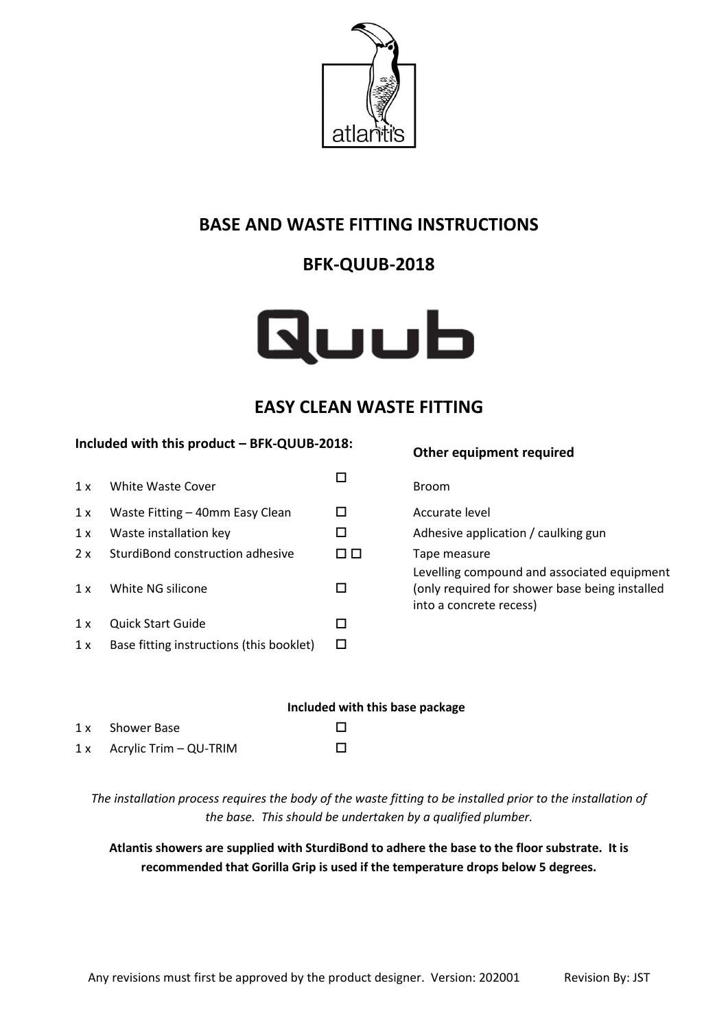

## **BASE AND WASTE FITTING INSTRUCTIONS**

# **BFK-QUUB-2018**

# Quub

### **EASY CLEAN WASTE FITTING**

#### **Included with this product – BFK-QUUB-2018:**

| 1 x | <b>White Waste Cover</b>                 |        | <b>Broom</b>                 |
|-----|------------------------------------------|--------|------------------------------|
| 1 x | Waste Fitting - 40mm Easy Clean          |        | Accura                       |
| 1 x | Waste installation key                   |        | Adhesi                       |
| 2x  | SturdiBond construction adhesive         | $\Box$ | Tape n                       |
| 1 x | White NG silicone                        |        | Levelli<br>(only r<br>into a |
| 1x  | Quick Start Guide                        |        |                              |
| 1x  | Base fitting instructions (this booklet) |        |                              |

# **Other equipment required** Accurate level Adhesive application / caulking gun  $\Box$  Tape measure Levelling compound and associated equipment (only required for shower base being installed into a concrete recess)

|                             | Included with this base package |
|-----------------------------|---------------------------------|
| 1 x Shower Base             |                                 |
| $1x$ Acrylic Trim – QU-TRIM | $\Box$                          |

*The installation process requires the body of the waste fitting to be installed prior to the installation of the base. This should be undertaken by a qualified plumber.*

**Atlantis showers are supplied with SturdiBond to adhere the base to the floor substrate. It is recommended that Gorilla Grip is used if the temperature drops below 5 degrees.**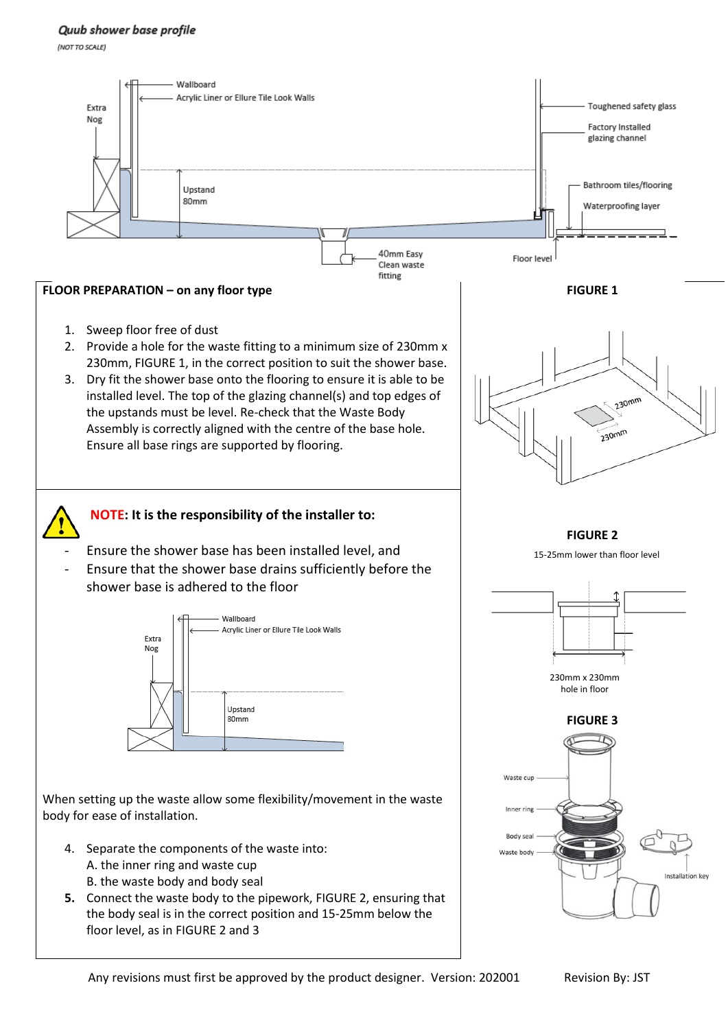#### Quub shower base profile

(NOT TO SCALE)